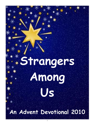# **Strangers Among Us**

**An Advent Devotional 2010**

1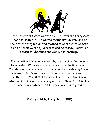

These Reflections were written by The Reverend Larry Jent, Elder and pastor in The United Methodist Church, and Co-Chair of the Virginia United Methodist Conference Commission on Ethnic Minority Concerns and Advocacy. Larry is a person of Cherokee and Sac & Fox heritage.

The devotional is recommended by the Virginia Conference Immigration Work Group as a means of reflection during a Christian season where our focus is on the greatest gift ever received—God's son, Jesus. It calls us to remember the birth of the Christ Child while calling to mind the similar situations of so many wandering without a "home" and seeking a place of acceptance and safety in our country today.

© Copyright by Larry Jent (2010)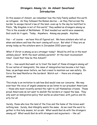# **Strangers Among Us: An Advent Devotional Introduction**

In this season of Advent, we remember how the Holy Family walked this earth as refugees. As they followed the Roman decree -- as they fled across the border to escape Herod's law of the land--even up to the day he testified to Pilate, "My Kingdom is not of this world," they walked as strangers among us. This is the scandal of Bethlehem: If God invaded our world once unawares, God could do it again. Today. Anywhere. Among any people. Anytime.

Yes -- of course -- we have this all figured out. We have scholars who tell us when and where and how the next coming will occur. But what if they are as wrong today as the scholars were in Jerusalem 2010 years ago?

What if Christ is among us as a stranger today? Would he still be in the most unlikely place? With the most unlikely parents? At the most inconvenient time? Could that time be this Advent?

If so -- how would God want us to treat the least of these strangers among us? In our nation of immigrants, the issue of immigration has become a hot topic. Now, as perhaps never before, we feel a need to maintain our own safety. Enforce the laws! Reinforce the borders! Watch out -- there are strangers among us!

This study is an invitation to ask how God would view our concerns. We may even hear the voice of angels unawares as we listen to our proudest Americans -- those who most recently earned the right to call themselves citizens. These proud Americans do not want to abolish the borders or repeal the laws. They only want an immigration policy that works as advertised, with justice and liberty for all.

Surely, those who love the land of the free and the home of the brave want nothing less. Surely, God Almighty wants the same. As we read the word together in this holy season, let us ask: What would God do with the strangers among us? What would God do with strangers and sojourners -- like us?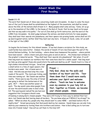# **Advent Week One First Reading**

#### **Isaiah 2:1-5**

The word that Isaiah son of Amoz saw concerning Judah and Jerusalem. In days to come the mountain of the Lord's house shall be established as the highest of the mountains, and shall be raised above the hills; all the nations shall stream to it. Many peoples shall come and say, "Come, let us go up to the mountain of the LORD, to the house of the God of Jacob; that he may teach us his ways and that we may walk in his paths." For out of Zion shall go forth instruction, and the word of the LORD from Jerusalem. He shall judge between the nations, and shall arbitrate for many peoples; they shall beat their swords into plowshares, and their spears into pruning hooks; nation shall not lift up sword against nation, neither shall they learn war any more. O house of Jacob, come, let us walk in the light of the LORD!

#### **Reflection**

So begins the lectionary for this Advent season. If we had chosen a scripture for this study, we could hardly have done better. Indeed, the words of Isaiah 2:4 are inscribed upon the wall of the United Nations building. In that building -- where shoes have hammered the podium -- where pistols have been waved -- where cheers and jeers have gone on and on and on ... the stones bear witness to the prophet's immortal words. "They shall beat their swords into plowshares!" But when, O Lord? How long must we reassure our mothers that their sons have died for a noble cause? How long must we take up arms against those who would storm the walls and destroy us all? Isaiah lived in a time of

high stakes international intrigue. Israel was a small nation in a time of super powers. Her borders were weak. Her citizens were divided. And she was perched atop the crossroads of the world. The clock was ticking, and time was running out. But Isaiah saw another reality. There was no way the army of Israel was going to defeat the barbarians at the gate. BUT -- there was another power at work. The day would come when people from all over the world would come to God's holy hill. This was beyond radical! No one had ever suggested that foreigners should come

#### **Prayer —**

 **Holy God, show me the walls and borders of my heart and life. Tear them down that I would more easily welcome your Spirit and welcome others. Teach me how to welcome even my enemies to your holy hill so that, together as friends, we become your chosen people. Amen.** 

streaming in among God's chosen people! They were still trying to find a way to defend their borders--but Isaiah saw God tearing down all borders. "Do you know when we'll REALLY be strong?" he asked. "When we show ALL people why they should want to come HERE -- and kneel before the Almighty God." Israel was praying that God would destroy her enemies. Isaiah knew you can only truly destroy your enemies by turning them into brothers and sisters. How is God calling you to turn enemies into friends today? How will we call them to this holy hill?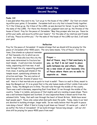# **Advent Week One Second Reading**

## **Psalm 122**

I was glad when they said to me, "Let us go to the house of the LORD!" Our feet are standing within your gates, O Jerusalem. Jerusalem built as a city that is bound firmly together. To it the tribes go up, the tribes of the LORD, as was decreed for Israel, to give thanks to the name of the LORD. For there the thrones for judgment were set up, the thrones of the house of David. Pray for the peace of Jerusalem: "May they prosper who love you. Peace be within your walls, and security within your towers." For the sake of my relatives and friends I will say, "Peace be within you." For the sake of the house of the LORD our God, I will seek your good.

#### **Reflection**

Pray for the peace of Jerusalem! It seems strange that we should still be praying for the peace of Jerusalem after 4000 years. The very name means, "City of Peace." For Chris-

tians, Zion stands as a physical reminder of that heavenly city to which we are bound. Yet those who love this city the most seem determined to fracture her most deeply. A wall encircles Jerusalem today, separating old from new. A wall runs through the city, separating gentiles from Jews. A wailing wall stands at the temple mount, symbolizing ultimate destruction and hope. The very nation of Israel now pins her dreams of peace to a

 **Prayer —** 

 **God of Peace, may I find sanctuary in you, so that I do not need to place walls between me and others. Show me a new vision of your heavenly City of Peace where there are no walls to separate us. Amen.** 

wall. How is it that mortals are so quick to trust in walls? There is a wall in China, meant to keep the Mongols out. It is so grand that is the only human-made artifact visible from outer space. Today, the Mongols are in China. The wall runs through the middle of the county. There was a wall in Germany, separating East from West. It ran through the middle of the country. Today it is rubble, and pieces of that mighty wall are residing in pawn shops. There was a wall between England and Scotland. It once separated Rome's known world from the untamed Celts. Today, that wall runs through the heart of Great Britain. Walls have never kept people apart. Peace only comes when God pulls down the walls. Today, many in our land are devoted to building stronger, longer walls. Do we really believe that the path to peace runs along a fence? What if God is trying to pull down our fences? Or worse yet -- what if we suffer the fate of Jerusalem? If we build stronger fences long enough -- will our children still be praying for peace 4000 years from now?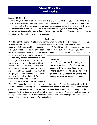# **Advent Week One Third Reading**

#### **Romans 13:11-14**

Besides this, you know what time it is, how it is now the moment for you to wake from sleep. For salvation is nearer to us now than when we became believers; the night is far gone, the day is near. Let us then lay aside the works of darkness and put on the armor of light; let us live honorably as in the day, not in reveling and drunkenness, not in debauchery and licentiousness, not in quarreling and jealousy. Instead, put on the Lord Jesus Christ, and make no provision for the flesh, to gratify its desires.

## **Reflection**

Watch! Post the quard! You know it's getting late! Pay attention! Get ready! Paul calls us to wake and watch -- not because danger is close, but because salvation is at hand. What would you do if your neighbor's house was on fire? Would you watch to make sure no smoke blew your direction, or bang on the door to get everyone out alive? What if you knew the whole neighborhood would soon be in flames? Would you head for the highways before any-

one else, or call everyone to find safety? For the early church, there was a tremendous urgency to the gospel. Time was ticking away -- no time to waste! Christians had to reach as many friends and neighbors as possible -- as quickly as possible. The ultimate question was this: If the judgment came tomorrow, who would you be willing to leave behind? In our world today, the same question applies. Yet we do not feel that sense of urgency.

## **Prayer —**

 **Lord, forgive me for becoming so comfortable here. Forgive me for assuming I have more time to tell others about you. Wake me up! Fill me with a new urgency that you are coming to take us home. Amen.** 

We suffer from the illusion that we have plenty of time. The Lord's coming will not be today or tomorrow. Plenty of time. And since we are here for the long haul, we need to safeguard our investments. Maximize our returns. Guard our property values. Keep out the intruders. As Christians, we are not called to hope in this world. We are in the business of offering hope to the world. When strangers among us come seeking hope--how shall we respond? Are you in the business of offering hope?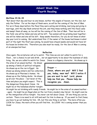# **Advent Week One Fourth Reading**

#### **Matthew 24:36-44**

"But about that day and hour no one knows, neither the angels of heaven, nor the Son, but only the Father. For as the days of Noah were, so will be the coming of the Son of Man. For as in those days before the flood they were eating and drinking, marrying and giving in marriage, until the day Noah entered the ark, and they knew nothing until the flood came and swept them all away, so too will be the coming of the Son of Man. Then two will be in the field; one will be taken and one will be left. Two women will be grinding meal together; one will be taken and one will be left. Keep awake therefore, for you do not know on what day your Lord is coming. But understand this: if the owner of the house had known in what part of the night the thief was coming, he would have stayed awake and would not have let his house be broken into. Therefore you also must be ready, for the Son of Man is coming at an unexpected hour.

## **Reflection**

Once again, the scriptures call us to watch. This time we are not called to watch for a flood ... nor a chance to eat and drink ... nor an opportunity to be about the business of daily living. No, we are called to watch for Jesus. Jesus is a slippery character. He shows up in

the arms of an unwed mother. He shows up among a family of political refugees. He shows up on the run in Egypt. He shows up among sinners and tax collectors. He shows up at Pharisee's homes. He shows up on the fishing docks. He shows up all over the place -- but never at the time and place you might expect. This is the dangerous thing about Jesus. He might be at the homeless shelter tonight.

#### **Prayer —**

 **Jesus, where are you? Will I find you, today, near me? Will I notice if you are next to me? Lord, please help me find you. Please help me recognize you. Amen.** 

He might be out drinking with rowdy friends. He might be in the arms of an unwed mother - - again. He might be an illegal alien on the run from a modern day Herod. He might even be at the immigration office tonight. You never can tell about Jesus. Of one thing you can be certain: There is no need to sit still and wait for him to show up. If you want to find Jesus, you have to go out looking for him. Oh, but this one thing is certain: The more often you LOOK for Jesus, the more often you will find him. So LOOK! He's coming sooner than you think!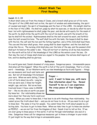# **Advent Week Two First Reading**

## **Isaiah 11:1-10**

A shoot shall come out from the stump of Jesse, and a branch shall grow out of his roots. The spirit of the LORD shall rest on him, the spirit of wisdom and understanding, the spirit of counsel and might, the spirit of knowledge and the fear of the LORD. His delight shall be in the fear of the LORD. He shall not judge by what his eyes see, or decide by what his ears hear; but with righteousness he shall judge the poor, and decide with equity for the meek of the earth; he shall strike the earth with the rod of his mouth, and with the breath of his lips he shall kill the wicked. Righteousness shall be the belt around his waist, and faithfulness the belt around his loins. The wolf shall live with the lamb, the leopard shall lie down with the kid, the calf and the lion and the fatling together, and a little child shall lead them. The cow and the bear shall graze, their young shall lie down together; and the lion shall eat straw like the ox. The nursing child shall play over the hole of the asp, and the weaned child shall put its hand on the adder's den. They will not hurt or destroy on all my holy mountain; for the earth will be full of the knowledge of the LORD as the waters cover the sea. On that day the root of Jesse shall stand as a signal to the peoples; the nations shall inquire of him, and his dwelling shall be glorious.

## **Reflection**

In a world gone mad, Isaiah dreamed of crazy peace. Dangerous peace. Unreasonable peace. And when will this happen? When the earth is full of the Lord's knowledge. That's a tricky word -- knowledge. In our Western world, we view knowledge as facts and figures -- things

we can measure and touch and taste and see. But not all knowledge fits between your ears. When we were dating, I knew a lot of facts about my wife. Long before we were wed, I knew her height, weight, age, and size. But as we have lived and loved, I have come to KNOW her -- like no one else on earth can possibly know her. Our relationship shows me more about her than any facts could ever

#### **Prayer —**

 **Lord, I want to know you, with more than information about You. Reveal Yourself to me so I can experience the crazy peace of Your Kingdom. Amen.** 

convey. When you come to know God, it has less to do with theology than relationship. You cannot prove the truth about God -- and you do not have to do so. All you need to do is get to know God. The same is true for people. You cannot know the truth about people by collecting data. You have to get to know them. When we take time to get to know one another as PEOPLE -- we are not far from the Kingdom of God. Isaiah tried to tell us this. If we are ever going to know peace in this world, it will be through relationships: one soul at a time. Dangerous times call for dangerous measures: get to know a stranger in your midst. It just might be the way God brings in unreasonable peace.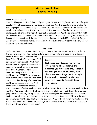# **Advent Week Two Second Reading**

## **Psalm 72:1-7, 18-19**

Give the king your justice, O God, and your righteousness to a king's son. May he judge your people with righteousness, and your poor with justice. May the mountains yield prosperity for the people, and the hills, in righteousness. May he defend the cause of the poor of the people, give deliverance to the needy, and crush the oppressor. May he live while the sun endures, and as long as the moon, throughout all generations. May he be like rain that falls on the mown grass, like showers that water the earth. In his days may righteousness flourish and peace abound, until the moon is no more. Blessed be the LORD, the God of Israel, who alone does wondrous things. Blessed be his glorious name forever; may his glory fill the whole earth. Amen and Amen.

#### **Reflection**

God cares about poor people. And it's a good thing -- because sometimes it seems God is the only one who does. For those who have achieved some level of comfort and success,

there is always the temptation to believe, "Hey! I EARNED this!" And, "If I can earn it --anyone can!" Well, that may be true. Our good fortune may indeed be the result of hard work and grit. Still, I wonder… If you were born to a family of Ethiopian farmers, could you have EARNED everything you have today? If you were an Asian peasant who lived in the way of a revolution, could you earn peace and safety? If there were no schools or hospitals

 **Prayer —** 

 **Righteous God, forgive me for too often feeling like I deserve the blessings you have given me. Remind me that you love all children, even those who seem forgotten in today's harsh world. Remind me that my peace and security is a gift from you. Amen.** 

within hundreds of miles, would you even be alive today? It is easy to become numb to those realities. We come to believe that we deserve all our blessings -- and those who are struggling to survive should just try harder. But can you imagine this from God's point of view? Could you watch one of your beloved daughters struggling to feed her children, while your son complained that he could not afford a new car? What if God loves all those children the same? How would God's heart be breaking? Is it too much for God to ask us to care about those who dream of dignity and hope?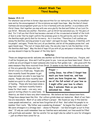# **Advent Week Two Third Reading**

#### **Romans 15:4-13**

For whatever was written in former days was written for our instruction, so that by steadfastness and by the encouragement of the scriptures we might have hope. May the God of steadfastness and encouragement grant you to live in harmony with one another, in accordance with Christ Jesus, that together you may with one voice glorify the God and Father of our Lord Jesus Christ. Welcome one another, therefore, just as Christ has welcomed you, for the glory of God. For I tell you that Christ has become a servant of the circumcised on behalf of the truth of God in order that he might confirm the promises given to the patriarchs, and in order that the Gentiles might glorify God for his mercy. As it is written, "Therefore I will confess you among the Gentiles, and sing praises to your name"; and again he says, "Rejoice, O Gentiles, with his people"; and again, "Praise the Lord, all you Gentiles, and let all the peoples praise him"; and again Isaiah says, "The root of Jesse shall come, the one who rises to rule the Gentiles; in him the Gentiles shall hope." May the God of hope fill you with all joy and peace in believing, so that you may abound in hope by the power of the Holy Spirit.

## **Reflection**

These are dangerous words: welcome one another as Christ has welcomed you. Forgive, and it will be forgiven you. Give and it will be given to you. Love as you have been loved. Once in a while we are privileged to meet someone who lives by that golden rule -- who gives with the same measure they have received from Christ. It seems to me that the folks who are best

at this are generally those who feel Christ's love in a fresh way. People who have recently found the power to get clean and sober are able to see hope for anyone. People who have recently been healed are quick to offer powerful words of healing. Those who have been alone a long time -- and have recently found a home for their souls -- are very, very good at inviting others to come home. In

## **Prayer —**

 **Loving Jesus, too often I forget how much you have loved me, and how much you have forgiven me. Remind me of the full extent of your love so I might offer your love to others. May I welcome them as you have welcomed me. Amen.** 

America, we tend to have very short memories. We believe we have always been here. Things have always been like this. Our culture grinds down our memories. Most of our families are newcomers. Most of us came without a prayer. We found our way in this land because people welcomed us... and we have forgotten all of that. God called His people to remember their roots. "My father was a wandering Aramean." So begins the Jewish credo. " We were strangers in a strange land -- slaves to Pharaoh -- but God brought us out to freedom." If only we could remember how our families were welcomed, our lives would be filled with gratitude and wonder. But be careful: for we might also be called to care for strangers -- just as others have cared for us.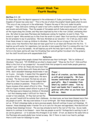# **Advent Week Two Fourth Reading**

#### **Matthew 3:1-12**

In those days John the Baptist appeared in the wilderness of Judea, proclaiming, "Repent, for the kingdom of heaven has come near." This is the one of whom the prophet Isaiah spoke when he said, "The voice of one crying out in the wilderness: 'Prepare the way of the Lord, make his paths straight.'" Now John wore clothing of camel's hair with a leather belt around his waist, and his food was locusts and wild honey. Then the people of Jerusalem and all Judea were going out to him, and all the region along the Jordan, and they were baptized by him in the river Jordan, confessing their sins. But when he saw many Pharisees and Sadducees coming for baptism, he said to them, "You brood of vipers! Who warned you to flee from the wrath to come? Bear fruit worthy of repentance. Do not presume to say to yourselves, 'We have Abraham as our ancestor'; for I tell you, God is able from these stones to raise up children to Abraham. Even now the ax is lying at the root of the trees; every tree therefore that does not bear good fruit is cut down and thrown into the fire. "I baptize you with water for repentance, but one who is more powerful than I is coming after me; I am not worthy to carry his sandals. He will baptize you with the Holy Spirit and fire. His winnowing fork is in his hand, and he will clear his threshing floor and will gather his wheat into the granary; but the chaff he will burn with unquenchable fire."

#### **Reflection**

John was outraged when people claimed that salvation was their birthright. "We're children of Abraham," they said. "Of COURSE we are God's chosen ones!" "Show me the fruit," John scoffed. What is the fruit of our prosperity? You would think that prosperity would make people generous,

wouldn't you? After all, those who have more than they need can surely share with those who have too little. God's abundant blessings should make it easier to give. Curiously, it seems that the opposite is true more often. The more people have, the more we need. The more we need, the less we can give. Time after time I have seen church budgets kept afloat by widows on pensions. Those with fivefigure incomes often cannot afford to tithe. Those with six-figure incomes cannot afford to give at all. The Pharisees were blessed as children of Abraham -- but that blessing made it difficult for them to accept or love anybody. If they had carried the

#### **Prayer —**

 **God of all creation, you have blessed us with great prosperity. We have become comfortable because of your good gifts. May I remember from where my comfort comes. Turn my heart and hands that I would be as generous with other as you have been with me. Amen.** 

day, you and I would still be outside their clubhouse. As Americans, we have been blessed more than any people on earth. We may even believe it is our birthright. But those blessings belong to God - not us. If God's blessings make us more gracious people, God will continue to pour out blessings. If, however, those blessings make it harder for us to care for the poor and oppressed, then God will not prolong those blessings forever. The axe may already be laid to the root of the tree. Do we really deserve to continue to be blessed -- more than any people on earth? Perhaps God is waiting to see if we can be generous -- or to welcome the strangers in our midst. If not, we deserve the same fate as the Pharisees who would gladly have turned us away. But if there is room in our hearts, perhaps there is still room for blessings to come.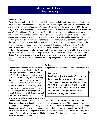# **Advent Week Three First Reading**

#### **Isaiah 35:1-10**

The wilderness and the dry land shall be glad, the desert shall rejoice and blossom; like the crocus it shall blossom abundantly, and rejoice with joy and singing. The glory of Lebanon shall be given to it, the majesty of Carmel and Sharon. They shall see the glory of the LORD, the majesty of our God. Strengthen the weak hands, and make firm the feeble knees. Say to those who are of a fearful heart, "Be strong, do not fear! Here is your God. He will come with vengeance, with terrible recompense. He will come and save you." Then the eyes of the blind shall be opened, and the ears of the deaf unstopped; then the lame shall leap like a deer, and the tongue of the speechless sing for joy. For waters shall break forth in the wilderness, and streams in the desert; the burning sand shall become a pool, and the thirsty ground springs of water; the haunt of jackals shall become a swamp, the grass shall become reeds and rushes. A highway shall be there, and it shall be called the Holy Way; the unclean shall not travel on it, but it shall be for God's people; no traveler, not even fools, shall go astray. No lion shall be there, nor shall any ravenous beast come up on it; they shall not be found there, but the redeemed shall walk there. And the ransomed of the LORD shall return, and come to Zion with singing; everlasting joy shall be upon their heads; they shall obtain joy and gladness, and sorrow and sighing shall flee away.

## **Reflection**

The ransomed shall return! God is opening a superhighway! It's time for the homecoming! We

might get the impression that the Babylonian captivity only lasted about a week and  $\|$  **proven**  $\|$ half. Truth is, it lasted a couple of generations – about seventy years. Think of that! Isaiah was calling people to come home -- people who had not been home in decades! In our nation, anything twenty years old is considered ancient history. Can you imagine how these people felt, when Babylon was the only home they had ever known? But God called their hearts to come home and promised to make a way.

 **Prayer —** 

 **Lord, we enjoy the fruit of this great land. You have given us this home. Thank you. Forgive me when I forget that this is a temporary home on land that you own. Show me the highway to Zion that I might return to you with everlasting joy. Amen.** 

They followed a vision of hope and peace -- but it was not always easy. After all that time, there were others who thought the holy land now belonged to them. They thought it was their birthright. They thought these Babylonian Jews were newcomers and immigrants. They fought them every step of the way -- but you cannot stop God's calling. You cannot stop the vision. In our own land, we are quick to point out that we have always been here. We own this land, and it is ours. Isaiah might warn us: ownership is temporary. The vision of peace and hope is eternal. Don't try to stop the vision.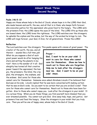## **Advent Week Three Second Reading**

## **Psalm 146:5-10**

Happy are those whose help is the God of Jacob, whose hope is in the LORD their God, who made heaven and earth, the sea, and all that is in them; who keeps faith forever; who executes justice for the oppressed; who gives food to the hungry. The LORD sets the prisoners free; the LORD opens the eyes of the blind. The LORD lifts up those who are bowed down; the LORD loves the righteous. The LORD watches over the strangers; he upholds the orphan and the widow, but the way of the wicked he brings to ruin. The LORD will reign forever, your God, O Zion, for all generations. Praise the LORD!

## **Reflection**

The Lord watches over the strangers. This psalm opens with visions of great power. The

creator of the earth, the sea, and all therein -- sounds like a full time job! What do you suppose a God of such great power would do after hanging the stars and setting the planets in motion? Here is the wonder of it all: God almighty has turned all that creative power toward the oppressed, the hungry, the prisoners, the blind, the crippled, the strangers, the orphans, and the widows. God cares for those who

 **Prayer —** 

 **God, I want to be on your side! I want to care for those who cannot care for themselves. Show me how to reach out to those who are forgotten. Help me to look after the strangers near me. God, I want to be on your side! Amen.** 

cannot care for themselves. Someone once asked Abraham Lincoln if he believed that God was on his side. Lincoln replied that he was more concerned with making certain that he was on God's side. Do you want to be certain that you are on God's side? Then care for those who cannot care for themselves. Reach out to those who have been forgotten. Give to those who cannot repay you. Look after the strangers in your midst. It is a curious thing: When you do these things, you find yourself more blessed than you ever dreamed possible. You cannot out-give God. Give away help, hope, and justice. Set prisoners free and feed the hungry. Show the strangers in your midst that you truly care. Then you will be one of happy ones, whose help is the God of Jacob.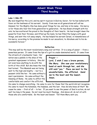# **Advent Week Three Third Reading**

## **Luke 1:46b-55**

My soul magnifies the Lord, and my spirit rejoices in God my Savior, for he has looked with favor on the lowliness of his servant. Surely, from now on all generations will call me blessed; for the Mighty One has done great things for me, and holy is his name. His mercy is for those who fear him from generation to generation. He has shown strength with his arm; he has scattered the proud in the thoughts of their hearts. He has brought down the powerful from their thrones, and lifted up the lowly; he has filled the hungry with good things, and sent the rich away empty. He has helped his servant Israel, in remembrance of his mercy, according to the promise he made to our ancestors, to Abraham and to his descendants forever."

## **Reflection**

This may well be the most revolutionary song ever written. It is a song of power -- from a powerless person. It came from the lips of a girl in a male-dominated world. It came from

the streets of a backwater town. Her nation was a pebble in the shoe of the greatest superpower in history. She did not even have anything to do with the birth of this child! But she knew the tide had turned. This Messiah was not being sent to the high and mighty -- but to a peasant child like her. He came without a man's permission. He came without the blessing of Rome. He came to afflict the comfortable and comfort the afflicted.

 **Prayer —** 

 **Lord, I wish I was a brave person, like Mary. She saw your revolutionary hand at work through her, and she still said "yes." Place me next to the uncomfortable, the afflicted. Send me to the least and the lowest. Amen.** 

He came to change everything. He came to care for those that the world did not recognize. He came to reach the homeless, the helpless, and the lost. How did she know all that? Because he came -- first of all -- to her. If you want to see the power of God in action, do not wait too long in the pews. Do not read too much theology. And above all, do not sit with those who are comfortable. Go the least and lowest. Tell them Mary sent you.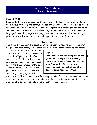# **Advent Week Three Fourth Reading**

## **James 5:7-10**

Be patient, therefore, beloved, until the coming of the Lord. The farmer waits for the precious crop from the earth, being patient with it until it receives the early and the late rains. You also must be patient. Strengthen your hearts, for the coming of the Lord is near. Beloved, do not grumble against one another, so that you may not be judged. See, the Judge is standing at the doors! As an example of suffering and patience, beloved, take the prophets who spoke in the name of the Lord.

## **Reflection**

The judge is standing at the door! What will he hear? I fear he may hear us grumbling against each other, like children who all claim the same portion of the sandbox.

It is not as if there is too little sand to share -- but no one had better try am from the South -- so I am never so crude as to simply complain about my brothers and sisters. First I say, "Bless his heart," and THEN I complain. How do you suppose God feels about us grumbling against others,

## **Prayer —**

to play in MY pile of sand! Of course,  $\|$  Lord, forgive me for being one of the  $\|$   $\|$  **Lord, forgive me for being one of the grumblers. Forgive me for caring more about what is "mine" rather than who I am with. Fill me with a generous spirit so that others always feel welcome near me. Amen.** 

when we are all his children? How do you suppose God feels when we value our corner of the sandbox more than the people in our midst? How do you suppose God feels when we label some of his children as "aliens," instead of guests?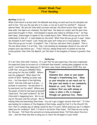# **Advent Week Four First Reading**

## **Matthew 11:2-11**

When John heard in prison what the Messiah was doing, he sent word by his disciples and said to him, "Are you the one who is to come, or are we to wait for another?" Jesus answered them, "Go and tell John what you hear and see: the blind receive their sight, the lame walk, the lepers are cleansed, the deaf hear, the dead are raised, and the poor have good news brought to them. And blessed is anyone who takes no offense at me." As they went away, Jesus began to speak to the crowds about John: "What did you go out into the wilderness to look at? A reed shaken by the wind? What then did you go out to see? Someone dressed in soft robes? Look, those who wear soft robes are in royal palaces. What then did you go out to see? A prophet? Yes, I tell you, and more than a prophet. This is the one about whom it is written, 'See, I am sending my messenger ahead of you, who will prepare your way before you.' Truly I tell you, among those born of women no one has arisen greater than John the Baptist; yet the least in the kingdom of heaven is greater than he.

#### **Reflection**

It's not that John didn't believe. It's just that he was expecting a few more explosions. He expected Jesus to be more of a firebrand than himself, raining down judgment on the world. Lord knows they deserved it! But here came Jesus talking about LOVE this, and

LOVE that, and good SAMARITANS, and caring for the lost SHEEP... Where was the judgment? What about the wrath of God? Walking on water was nice -- but how about a few lightning bolts? And now John was in prison -- a prelude to execution. He was about to be martyred, but for what? Where was the power of God he had been promised? Jesus said, "You want evidence? Go tell John what's happening here. We're caring for the poor and the outcast. We're

## **Prayer —**

 **Awesome God, show us your power through a transforming love. Show us your miracles as we reach out to the poor and needy in our community. Remind us, Lord, that the best evidence that you walk among us today is when a life is changed through our generous love. Amen.** 

healing them and welcoming them home. You can't get a bigger miracle than that." If John was looking for evidence of the Kingdom of God today, would he find it in the Church? (In fact, that's a sneaky way of asking: would he see it in you?) What would you say if a skeptic asked you for evidence? Well, it's hard to do better than Jesus. Tell them we are caring for the poor. Tell them the outcasts are being welcomed home. Tell them about the miracles -- and tell them how God is using you to reach the strangers in your midst.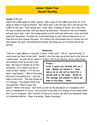## **Advent Week Four Second Reading**

## **Isaiah 7:10-16**

Again the LORD spoke to Ahaz, saying, "Ask a sign of the LORD your God; let it be deep as Sheol or high as heaven." But Ahaz said, I will not ask, and I will not put the LORD to the test. Then Isaiah said: "Hear then, O house of David! Is it too little for you to weary mortals, that you weary my God also? Therefore the Lord himself will give you a sign. Look, the young woman is with child and shall bear a son, and shall name him Immanuel. He shall eat curds and honey by the time he knows how to refuse the evil and choose the good. For before the child knows how to refuse the evil and choose the good, the land before whose two kings you are in dread will be deserted.

## **Reflection**

"Ask for a sign! Make it a big one! C'mon! I Dare you!" "Oh no," said the king, "I could never put God to the test." Really? Like the king, we all put God to the test on a daily basis... we just do not admit it to God. All of our anxiety, worry, and stress

are evidence that we do not trust God. We have to handle all of this ourselves. It is clearly too big to trust to God. Really? "I'll tell you what," said Isaiah. " Watch the baby. God has it all worked out -- and the baby is the proof. The king thinks he is in charge. The armies think they are powerful. Want to see real

## **Prayer —**

 **Lord, I guess you already sent us a sign. Maybe we missed it. Have mercy on us and call us back for a second look at the baby. Grant us the courage and wisdom to place our hope in the baby. Amen.** 

power? Watch the baby." Our faith is built on the shoulders of a homeless child born to immigrants in a barn. Do you want to see who is in charge of our tomorrows? Don't go to congress. Don't bother to worry or stress. Go watch an immigrant baby in a homeless shelter. Hope is growing. Hope is growing.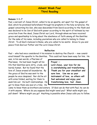# **Advent Week Four Third Reading**

## **Romans 1:1-7**

Paul, a servant of Jesus Christ, called to be an apostle, set apart for the gospel of God, which he promised beforehand through his prophets in the holy scriptures, the gospel concerning his Son, who was descended from David according to the flesh and was declared to be Son of God with power according to the spirit of holiness by resurrection from the dead, Jesus Christ our Lord, through whom we have received grace and apostleship to bring about the obedience of faith among all the Gentiles for the sake of his name, including yourselves who are called to belong to Jesus Christ. To all God's beloved in Rome, who are called to be saints: Grace to you and peace from God our Father and the Lord Jesus Christ.

## **Reflection**

Paul -- who had once considered it his mission to destroy the Church -- now considered himself the apostle to the Gentiles. This could not have been easy for him. He

was, in his own words, a Pharisee of Pharisees. He had been taught all his life that Gentiles were dirty, crude, and barely human. But he found that the love of Jesus erased all boundaries. By the grace of God he was sent to the people he once despised. Nor did he sit with arms folded, waiting for them to seek him out. He built relationships. He got to know them one soul at a time. He

## **Prayer —**

 **Lord Jesus, your love for me is overwhelming and transforming. Thank you for your steadfast and sure love. Use me as your instrument of love, so others will feel welcomed and enjoy your transforming love, too! Amen.** 

came to know them as brothers and sisters. If God can do that with Paul, he can do it with anyone. Where do you suppose God might send you? What walls might you pull down? Where might you go? Anything is possible when Jesus calls you to follow.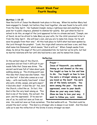# **Advent Week Four Fourth Reading**

## **Matthew 1:18-25**

Now the birth of Jesus the Messiah took place in this way. When his mother Mary had been engaged to Joseph, but before they lived together, she was found to be with child from the Holy Spirit. Her husband Joseph, being a righteous man and unwilling to expose her to public disgrace, planned to dismiss her quietly. But just when he had resolved to do this, an angel of the Lord appeared to him in a dream and said, "Joseph, son of David, do not be afraid to take Mary as your wife, for the child conceived in her is from the Holy Spirit. She will bear a son, and you are to name him Jesus, for he will save his people from their sins." All this took place to fulfill what had been spoken by the Lord through the prophet: "Look, the virgin shall conceive and bear a son, and they shall name him Emmanuel," which means, "God is with us." When Joseph awoke from sleep, he did as the angel of the Lord commanded him; he took her as his wife, but had no marital relations with her until she had borne a son; and he named him Jesus.

In the earliest days of the Church, preachers did not find it difficult to persuade folks that Jesus was divine. The ancient world was full of tales about gods walking among us. The sticking point was this idea that Jesus was also human. How can that be? A God who comes as a real baby -- with real bodily functions? A God who eats, drinks, weeps, and gets angry? A God who dies? A God like us? Yes, said the Church, a God like us. In fact, this God is like the very least among us. This God is one of the lonely, the outcast, the poor, and the oppressed. If he was not one of us, he could not save us from our

## **Reflection**

 **Prayer —** 

 **Jesus of Nazareth, you walked Among us and showed us the way. You taught us how to live and how to die. You taught us how to love. You were a stranger among us, yet you loved us the most! You were one of the lonely outcasts. You were among the poor. You were oppressed, even to your death. Show me your way even today. Show me how to love your way. I want to follow you, Lord. Amen.** 

sins. He could not save us from ourselves. This God walks with us. This God could be around the next corner. This God is a stranger who is always in our midst. And this God calls us to see the reflection of the Divine in every stranger we meet.